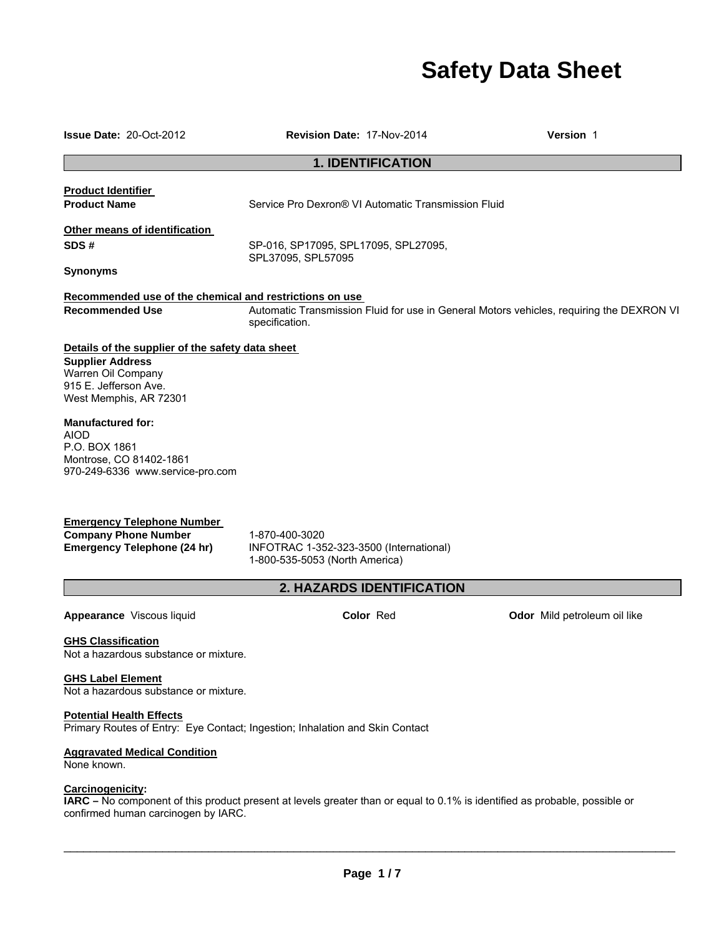# **Safety Data Sheet**

**Issue Date:** 20-Oct-2012 **Revision Date:** 17-Nov-2014 **Version** 1

### **1. IDENTIFICATION**

**Product Identifier** 

**Product Name Service Pro Dexron® VI Automatic Transmission Fluid Product** Name

**Other means of identification** 

**SDS #** SP-016, SP17095, SPL17095, SPL27095, SPL37095, SPL57095

**Synonyms** 

### **Recommended use of the chemical and restrictions on use**

**Recommended Use** Automatic Transmission Fluid for use in General Motors vehicles, requiring the DEXRON VI specification.

# **Details of the supplier of the safety data sheet**

**Supplier Address**  Warren Oil Company 915 E. Jefferson Ave. West Memphis, AR 72301

### **Manufactured for:**

AIOD P.O. BOX 1861 Montrose, CO 81402-1861 970-249-6336 www.service-pro.com

# **Emergency Telephone Number**

**Company Phone Number** 1-870-400-3020<br> **Emergency Telephone (24 hr)** INFOTRAC 1-35

**Emergency Telephone (24 hr)** INFOTRAC 1-352-323-3500 (International) 1-800-535-5053 (North America)

# **2. HAZARDS IDENTIFICATION**

**Appearance** Viscous liquid **Color** Red **Odor** Mild petroleum oil like

### **GHS Classification**

Not a hazardous substance or mixture.

### **GHS Label Element**

Not a hazardous substance or mixture.

### **Potential Health Effects**

Primary Routes of Entry: Eye Contact; Ingestion; Inhalation and Skin Contact

### **Aggravated Medical Condition**

None known.

### **Carcinogenicity:**

**IARC –** No component of this product present at levels greater than or equal to 0.1% is identified as probable, possible or confirmed human carcinogen by IARC.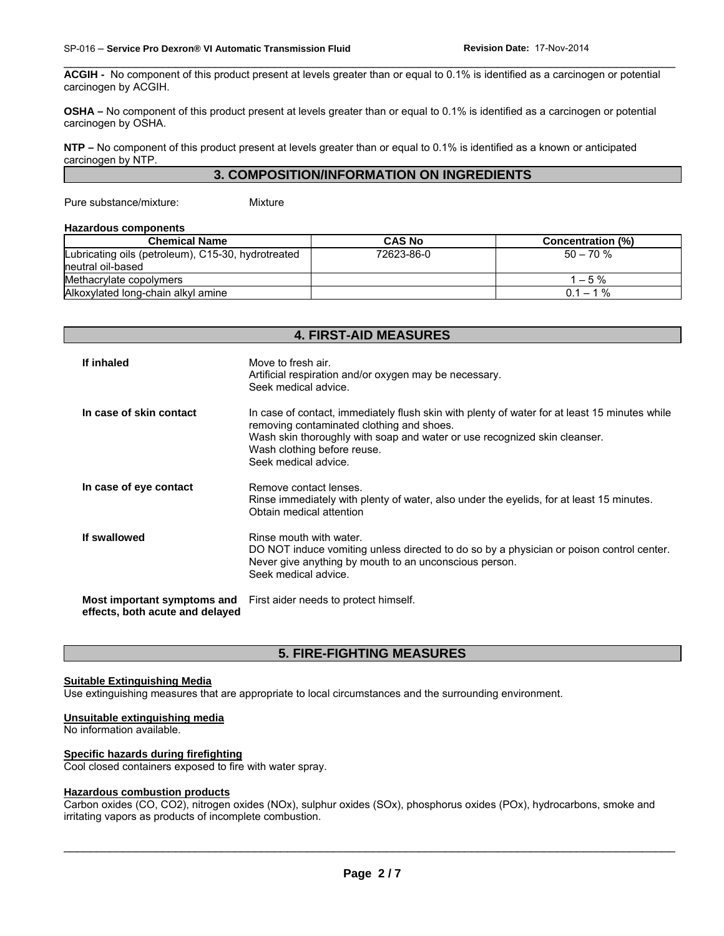**ACGIH -** No component of this product present at levels greater than or equal to 0.1% is identified as a carcinogen or potential carcinogen by ACGIH.

\_\_\_\_\_\_\_\_\_\_\_\_\_\_\_\_\_\_\_\_\_\_\_\_\_\_\_\_\_\_\_\_\_\_\_\_\_\_\_\_\_\_\_\_\_\_\_\_\_\_\_\_\_\_\_\_\_\_\_\_\_\_\_\_\_\_\_\_\_\_\_\_\_\_\_\_\_\_\_\_\_\_\_\_\_\_\_\_\_\_\_\_\_

**OSHA –** No component of this product present at levels greater than or equal to 0.1% is identified as a carcinogen or potential carcinogen by OSHA.

**NTP –** No component of this product present at levels greater than or equal to 0.1% is identified as a known or anticipated carcinogen by NTP.

### **3. COMPOSITION/INFORMATION ON INGREDIENTS**

Pure substance/mixture: Mixture

#### **Hazardous components**

| <b>Chemical Name</b>                               | <b>CAS No</b> | <b>Concentration (%)</b> |
|----------------------------------------------------|---------------|--------------------------|
| Lubricating oils (petroleum), C15-30, hydrotreated | 72623-86-0    | $50 - 70$ %              |
| Ineutral oil-based                                 |               |                          |
| Methacrylate copolymers                            |               | $1 - 5\%$                |
| Alkoxylated long-chain alkyl amine                 |               | $0.1 - 1\%$              |

**4. FIRST-AID MEASURES** 

# **If inhaled** Move to fresh air. Artificial respiration and/or oxygen may be necessary. Seek medical advice. **In case of skin contact** In case of contact, immediately flush skin with plenty of water for at least 15 minutes while removing contaminated clothing and shoes. Wash skin thoroughly with soap and water or use recognized skin cleanser. Wash clothing before reuse. Seek medical advice. **In case of eye contact Remove contact lenses.** Rinse immediately with plenty of water, also under the eyelids, for at least 15 minutes. Obtain medical attention **If swallowed Rinse mouth with water.** DO NOT induce vomiting unless directed to do so by a physician or poison control center. Never give anything by mouth to an unconscious person. Seek medical advice. **Most important symptoms and effects, both acute and delayed**  First aider needs to protect himself.

### **5. FIRE-FIGHTING MEASURES**

### **Suitable Extinguishing Media**

Use extinguishing measures that are appropriate to local circumstances and the surrounding environment.

#### **Unsuitable extinguishing media**

No information available.

### **Specific hazards during firefighting**

Cool closed containers exposed to fire with water spray.

#### **Hazardous combustion products**

Carbon oxides (CO, CO2), nitrogen oxides (NOx), sulphur oxides (SOx), phosphorus oxides (POx), hydrocarbons, smoke and irritating vapors as products of incomplete combustion.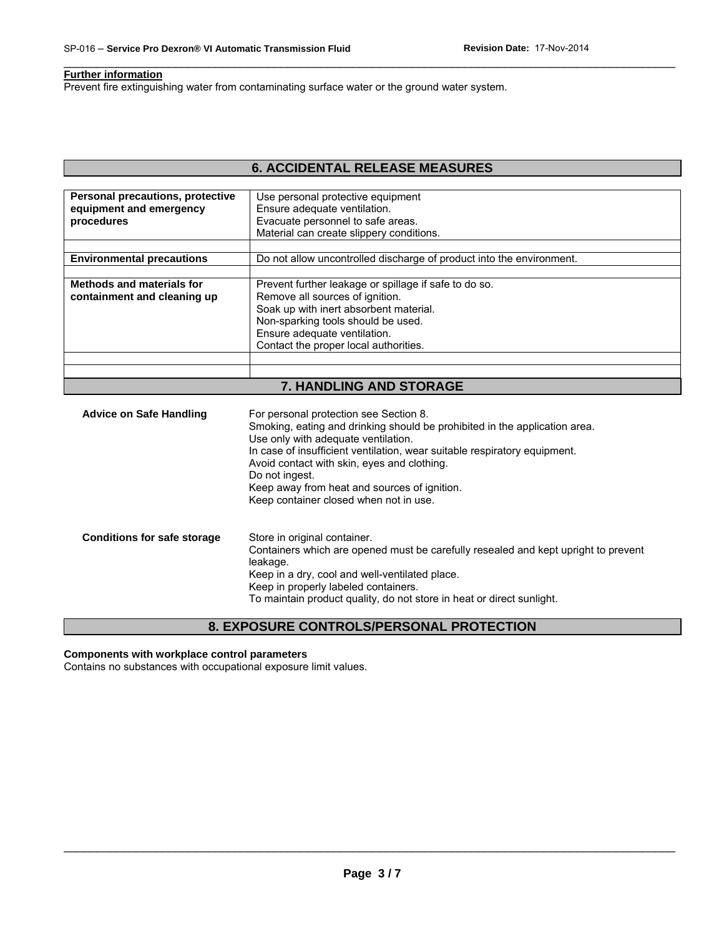### **Further information**

Prevent fire extinguishing water from contaminating surface water or the ground water system.

# **6. ACCIDENTAL RELEASE MEASURES**

\_\_\_\_\_\_\_\_\_\_\_\_\_\_\_\_\_\_\_\_\_\_\_\_\_\_\_\_\_\_\_\_\_\_\_\_\_\_\_\_\_\_\_\_\_\_\_\_\_\_\_\_\_\_\_\_\_\_\_\_\_\_\_\_\_\_\_\_\_\_\_\_\_\_\_\_\_\_\_\_\_\_\_\_\_\_\_\_\_\_\_\_\_

| Personal precautions, protective<br>equipment and emergency<br>procedures | Use personal protective equipment<br>Ensure adequate ventilation.<br>Evacuate personnel to safe areas.<br>Material can create slippery conditions.                                                                                                |
|---------------------------------------------------------------------------|---------------------------------------------------------------------------------------------------------------------------------------------------------------------------------------------------------------------------------------------------|
| <b>Environmental precautions</b>                                          | Do not allow uncontrolled discharge of product into the environment.                                                                                                                                                                              |
|                                                                           |                                                                                                                                                                                                                                                   |
| Methods and materials for<br>containment and cleaning up                  | Prevent further leakage or spillage if safe to do so.<br>Remove all sources of ignition.<br>Soak up with inert absorbent material.<br>Non-sparking tools should be used.<br>Ensure adequate ventilation.<br>Contact the proper local authorities. |
|                                                                           |                                                                                                                                                                                                                                                   |

### **7. HANDLING AND STORAGE**

| <b>Advice on Safe Handling</b>     | For personal protection see Section 8.<br>Smoking, eating and drinking should be prohibited in the application area.<br>Use only with adequate ventilation.<br>In case of insufficient ventilation, wear suitable respiratory equipment.<br>Avoid contact with skin, eyes and clothing.<br>Do not ingest.<br>Keep away from heat and sources of ignition.<br>Keep container closed when not in use. |
|------------------------------------|-----------------------------------------------------------------------------------------------------------------------------------------------------------------------------------------------------------------------------------------------------------------------------------------------------------------------------------------------------------------------------------------------------|
| <b>Conditions for safe storage</b> | Store in original container.<br>Containers which are opened must be carefully resealed and kept upright to prevent<br>leakage.<br>Keep in a dry, cool and well-ventilated place.<br>Keep in properly labeled containers.<br>To maintain product quality, do not store in heat or direct sunlight.                                                                                                   |

# **8. EXPOSURE CONTROLS/PERSONAL PROTECTION**

### **Components with workplace control parameters**

Contains no substances with occupational exposure limit values.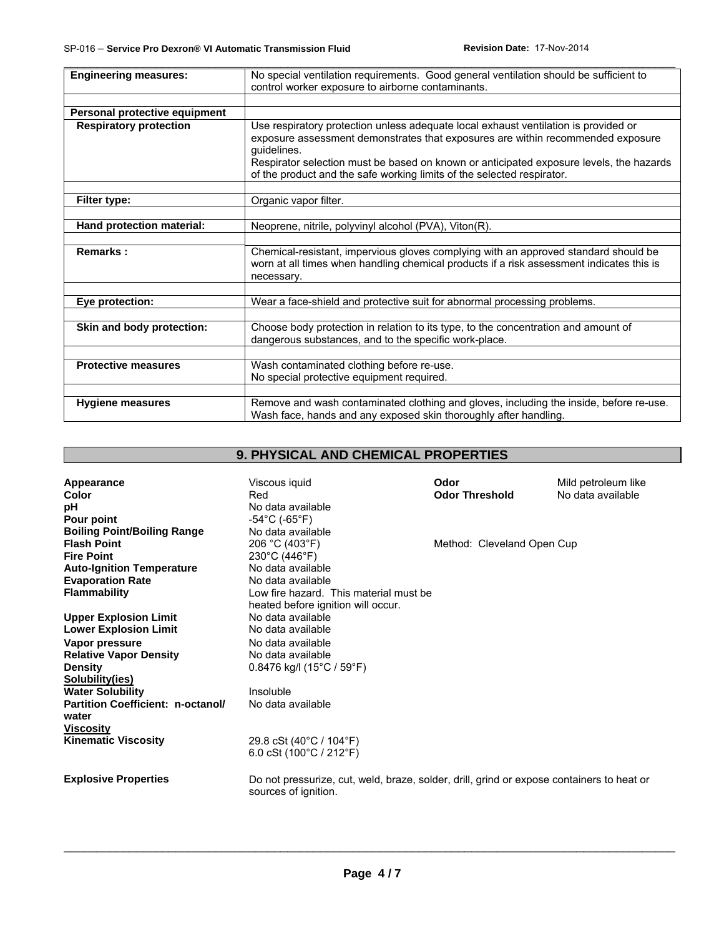| <b>Engineering measures:</b>  | No special ventilation requirements. Good general ventilation should be sufficient to<br>control worker exposure to airborne contaminants.                                                                                                                                       |  |
|-------------------------------|----------------------------------------------------------------------------------------------------------------------------------------------------------------------------------------------------------------------------------------------------------------------------------|--|
|                               |                                                                                                                                                                                                                                                                                  |  |
| Personal protective equipment |                                                                                                                                                                                                                                                                                  |  |
| <b>Respiratory protection</b> | Use respiratory protection unless adequate local exhaust ventilation is provided or<br>exposure assessment demonstrates that exposures are within recommended exposure<br>guidelines.<br>Respirator selection must be based on known or anticipated exposure levels, the hazards |  |
|                               | of the product and the safe working limits of the selected respirator.                                                                                                                                                                                                           |  |
|                               | Organic vapor filter.                                                                                                                                                                                                                                                            |  |
| Filter type:                  |                                                                                                                                                                                                                                                                                  |  |
| Hand protection material:     | Neoprene, nitrile, polyvinyl alcohol (PVA), Viton(R).                                                                                                                                                                                                                            |  |
| <b>Remarks:</b>               | Chemical-resistant, impervious gloves complying with an approved standard should be<br>worn at all times when handling chemical products if a risk assessment indicates this is<br>necessary.                                                                                    |  |
|                               |                                                                                                                                                                                                                                                                                  |  |
| Eye protection:               | Wear a face-shield and protective suit for abnormal processing problems.                                                                                                                                                                                                         |  |
|                               |                                                                                                                                                                                                                                                                                  |  |
| Skin and body protection:     | Choose body protection in relation to its type, to the concentration and amount of<br>dangerous substances, and to the specific work-place.                                                                                                                                      |  |
|                               |                                                                                                                                                                                                                                                                                  |  |
| <b>Protective measures</b>    | Wash contaminated clothing before re-use.                                                                                                                                                                                                                                        |  |
|                               | No special protective equipment required.                                                                                                                                                                                                                                        |  |
|                               |                                                                                                                                                                                                                                                                                  |  |
| <b>Hygiene measures</b>       | Remove and wash contaminated clothing and gloves, including the inside, before re-use.<br>Wash face, hands and any exposed skin thoroughly after handling.                                                                                                                       |  |

# **9. PHYSICAL AND CHEMICAL PROPERTIES**

| Appearance                                        | Viscous iquid                                                                                                     | Odor                       | Mild petroleum like |
|---------------------------------------------------|-------------------------------------------------------------------------------------------------------------------|----------------------------|---------------------|
| Color                                             | Red                                                                                                               | <b>Odor Threshold</b>      | No data available   |
| рH                                                | No data available                                                                                                 |                            |                     |
| Pour point                                        | -54°C (-65°F)                                                                                                     |                            |                     |
| <b>Boiling Point/Boiling Range</b>                | No data available                                                                                                 |                            |                     |
| <b>Flash Point</b>                                | 206 °C (403°F)                                                                                                    | Method: Cleveland Open Cup |                     |
| <b>Fire Point</b>                                 | 230°C (446°F)                                                                                                     |                            |                     |
| <b>Auto-Ignition Temperature</b>                  | No data available                                                                                                 |                            |                     |
| <b>Evaporation Rate</b>                           | No data available                                                                                                 |                            |                     |
| Flammability                                      | Low fire hazard. This material must be                                                                            |                            |                     |
|                                                   | heated before ignition will occur.                                                                                |                            |                     |
| <b>Upper Explosion Limit</b>                      | No data available                                                                                                 |                            |                     |
| <b>Lower Explosion Limit</b>                      | No data available                                                                                                 |                            |                     |
| Vapor pressure                                    | No data available                                                                                                 |                            |                     |
| <b>Relative Vapor Density</b>                     | No data available                                                                                                 |                            |                     |
| <b>Density</b>                                    | 0.8476 kg/l (15 $^{\circ}$ C / 59 $^{\circ}$ F)                                                                   |                            |                     |
| Solubility(ies)                                   |                                                                                                                   |                            |                     |
| <b>Water Solubility</b>                           | Insoluble                                                                                                         |                            |                     |
| <b>Partition Coefficient: n-octanol/</b><br>water | No data available                                                                                                 |                            |                     |
| <b>Viscosity</b>                                  |                                                                                                                   |                            |                     |
| <b>Kinematic Viscosity</b>                        | 29.8 cSt (40°C / 104°F)<br>6.0 cSt $(100^{\circ}C / 212^{\circ}F)$                                                |                            |                     |
| <b>Explosive Properties</b>                       | Do not pressurize, cut, weld, braze, solder, drill, grind or expose containers to heat or<br>sources of ignition. |                            |                     |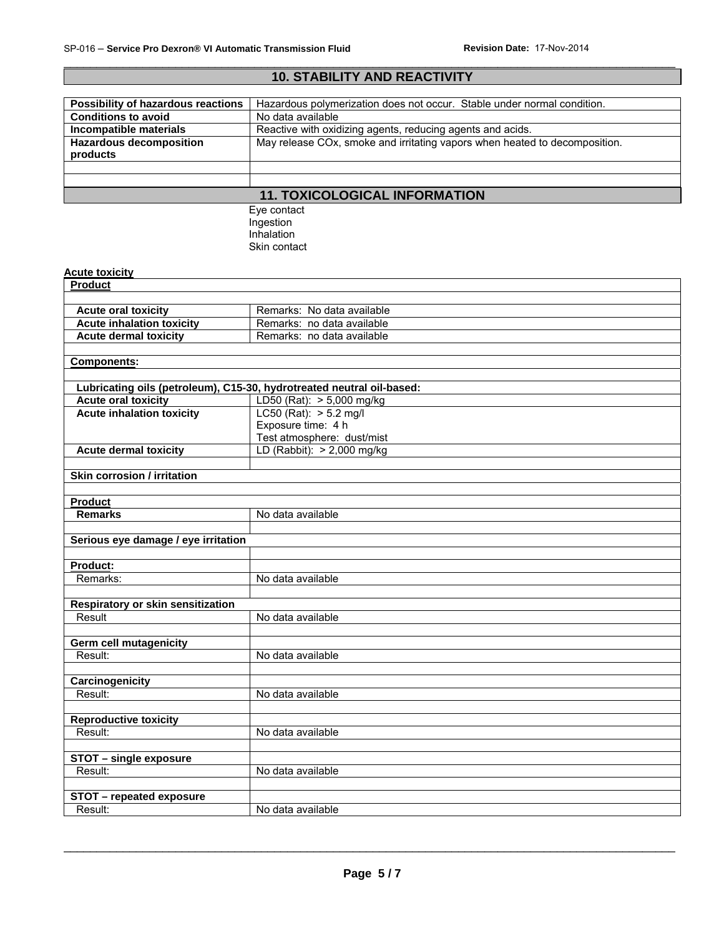# **10. STABILITY AND REACTIVITY Possibility of hazardous reactions** | Hazardous polymerization does not occur. Stable under normal condition.<br>
Conditions to avoid **Nota** No data available **Conditions to avoid<br>Incompatible materials** Reactive with oxidizing agents, reducing agents and acids. **Hazardous decomposition products**  May release COx, smoke and irritating vapors when heated to decomposition. **11. TOXICOLOGICAL INFORMATION**  Eye contact Ingestion Inhalation Skin contact **Acute toxicity Product Acute oral toxicity Remarks: No data available Acute inhalation toxicity** Remarks: no data available **Acute dermal toxicity | Remarks: no data available Components: Lubricating oils (petroleum), C15-30, hydrotreated neutral oil-based: Acute oral toxicity** <br> **Acute inhalation toxicity** LC50 (Rat): > 5.2 mg/l **Acute inhalation toxicity** Exposure time: 4 h Test atmosphere: dust/mist **Acute dermal toxicity** LD (Rabbit): > 2,000 mg/kg **Skin corrosion / irritation Product Remarks** No data available **Serious eye damage / eye irritation Product:**  Remarks: No data available **Respiratory or skin sensitization**  Result No data available **Germ cell mutagenicity**  Result: No data available **Carcinogenicity**  Result: No data available **Reproductive toxicity**  Result: No data available **STOT – single exposure**  Result: No data available **STOT – repeated exposure**  Result: No data available

\_\_\_\_\_\_\_\_\_\_\_\_\_\_\_\_\_\_\_\_\_\_\_\_\_\_\_\_\_\_\_\_\_\_\_\_\_\_\_\_\_\_\_\_\_\_\_\_\_\_\_\_\_\_\_\_\_\_\_\_\_\_\_\_\_\_\_\_\_\_\_\_\_\_\_\_\_\_\_\_\_\_\_\_\_\_\_\_\_\_\_\_\_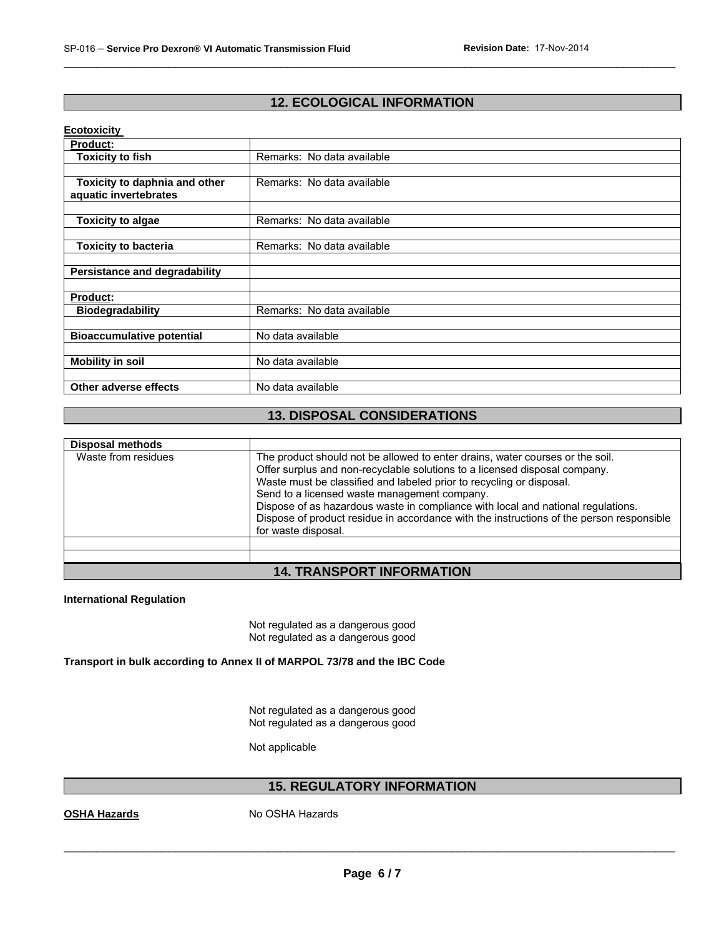# **12. ECOLOGICAL INFORMATION**

\_\_\_\_\_\_\_\_\_\_\_\_\_\_\_\_\_\_\_\_\_\_\_\_\_\_\_\_\_\_\_\_\_\_\_\_\_\_\_\_\_\_\_\_\_\_\_\_\_\_\_\_\_\_\_\_\_\_\_\_\_\_\_\_\_\_\_\_\_\_\_\_\_\_\_\_\_\_\_\_\_\_\_\_\_\_\_\_\_\_\_\_\_

### **Ecotoxicity**

| <b>Product:</b>                  |                            |
|----------------------------------|----------------------------|
| <b>Toxicity to fish</b>          | Remarks: No data available |
|                                  |                            |
| Toxicity to daphnia and other    | Remarks: No data available |
| aquatic invertebrates            |                            |
|                                  |                            |
| <b>Toxicity to algae</b>         | Remarks: No data available |
|                                  |                            |
| <b>Toxicity to bacteria</b>      | Remarks: No data available |
|                                  |                            |
| Persistance and degradability    |                            |
|                                  |                            |
| <b>Product:</b>                  |                            |
| <b>Biodegradability</b>          | Remarks: No data available |
|                                  |                            |
| <b>Bioaccumulative potential</b> | No data available          |
|                                  |                            |
| <b>Mobility in soil</b>          | No data available          |
|                                  |                            |
| Other adverse effects            | No data available          |

# **13. DISPOSAL CONSIDERATIONS**

| <b>Disposal methods</b> |                                                                                                                                                                                                                                                                                                                                                                                                                                                                                            |
|-------------------------|--------------------------------------------------------------------------------------------------------------------------------------------------------------------------------------------------------------------------------------------------------------------------------------------------------------------------------------------------------------------------------------------------------------------------------------------------------------------------------------------|
| Waste from residues     | The product should not be allowed to enter drains, water courses or the soil.<br>Offer surplus and non-recyclable solutions to a licensed disposal company.<br>Waste must be classified and labeled prior to recycling or disposal.<br>Send to a licensed waste management company.<br>Dispose of as hazardous waste in compliance with local and national regulations.<br>Dispose of product residue in accordance with the instructions of the person responsible<br>for waste disposal. |
|                         |                                                                                                                                                                                                                                                                                                                                                                                                                                                                                            |
|                         |                                                                                                                                                                                                                                                                                                                                                                                                                                                                                            |
|                         | $\blacksquare$                                                                                                                                                                                                                                                                                                                                                                                                                                                                             |

# **14. TRANSPORT INFORMATION**

### **International Regulation**

Not regulated as a dangerous good Not regulated as a dangerous good

**Transport in bulk according to Annex II of MARPOL 73/78 and the IBC Code** 

Not regulated as a dangerous good Not regulated as a dangerous good

Not applicable

### **15. REGULATORY INFORMATION**

**OSHA Hazards** No OSHA Hazards